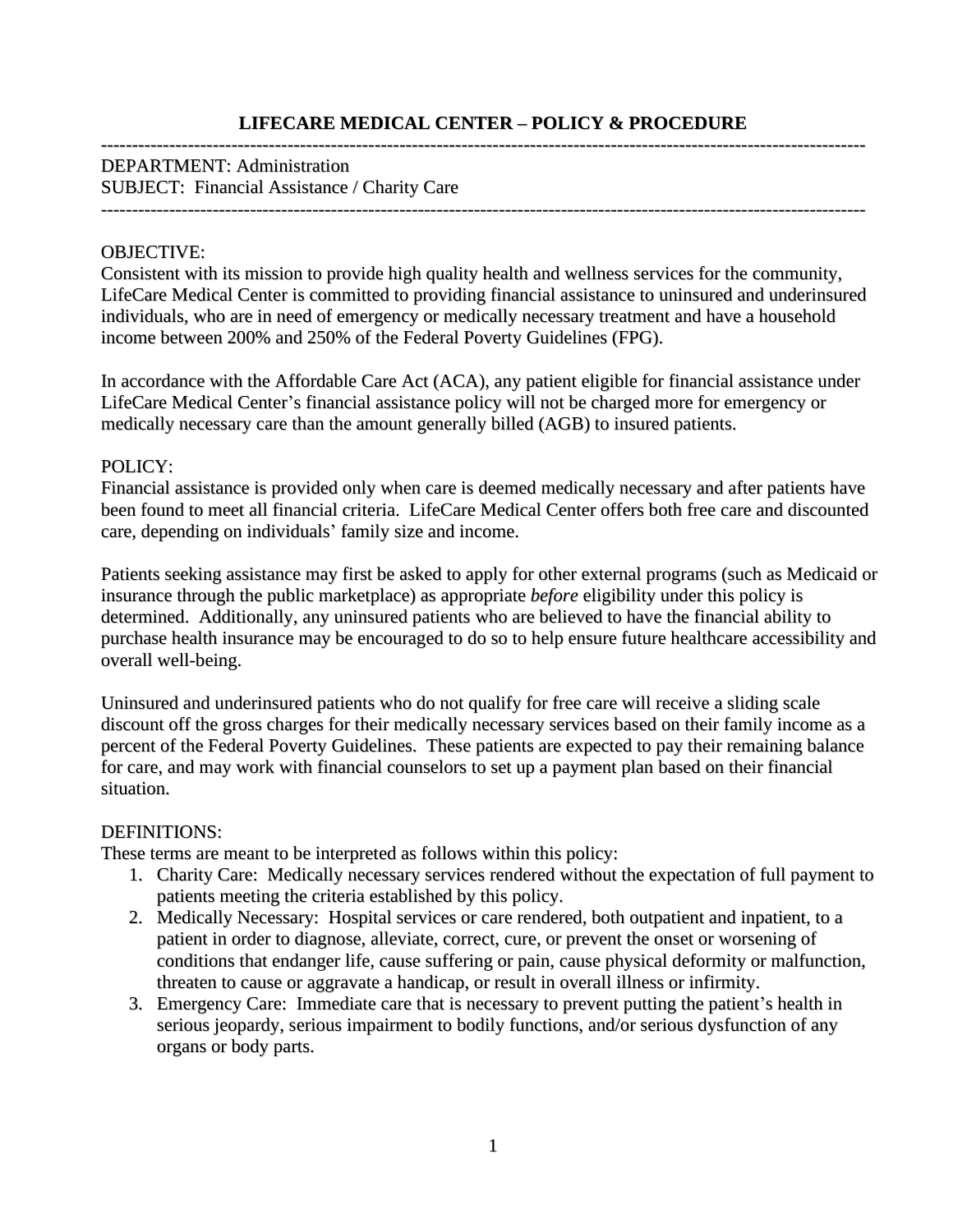# **LIFECARE MEDICAL CENTER – POLICY & PROCEDURE**

#### --------------------------------------------------------------------------------------------------------------------------- DEPARTMENT: Administration SUBJECT: Financial Assistance / Charity Care

---------------------------------------------------------------------------------------------------------------------------

### OBJECTIVE:

Consistent with its mission to provide high quality health and wellness services for the community, LifeCare Medical Center is committed to providing financial assistance to uninsured and underinsured individuals, who are in need of emergency or medically necessary treatment and have a household income between 200% and 250% of the Federal Poverty Guidelines (FPG).

In accordance with the Affordable Care Act (ACA), any patient eligible for financial assistance under LifeCare Medical Center's financial assistance policy will not be charged more for emergency or medically necessary care than the amount generally billed (AGB) to insured patients.

#### POLICY:

Financial assistance is provided only when care is deemed medically necessary and after patients have been found to meet all financial criteria. LifeCare Medical Center offers both free care and discounted care, depending on individuals' family size and income.

Patients seeking assistance may first be asked to apply for other external programs (such as Medicaid or insurance through the public marketplace) as appropriate *before* eligibility under this policy is determined. Additionally, any uninsured patients who are believed to have the financial ability to purchase health insurance may be encouraged to do so to help ensure future healthcare accessibility and overall well-being.

Uninsured and underinsured patients who do not qualify for free care will receive a sliding scale discount off the gross charges for their medically necessary services based on their family income as a percent of the Federal Poverty Guidelines. These patients are expected to pay their remaining balance for care, and may work with financial counselors to set up a payment plan based on their financial situation.

#### DEFINITIONS:

These terms are meant to be interpreted as follows within this policy:

- 1. Charity Care: Medically necessary services rendered without the expectation of full payment to patients meeting the criteria established by this policy.
- 2. Medically Necessary: Hospital services or care rendered, both outpatient and inpatient, to a patient in order to diagnose, alleviate, correct, cure, or prevent the onset or worsening of conditions that endanger life, cause suffering or pain, cause physical deformity or malfunction, threaten to cause or aggravate a handicap, or result in overall illness or infirmity.
- 3. Emergency Care: Immediate care that is necessary to prevent putting the patient's health in serious jeopardy, serious impairment to bodily functions, and/or serious dysfunction of any organs or body parts.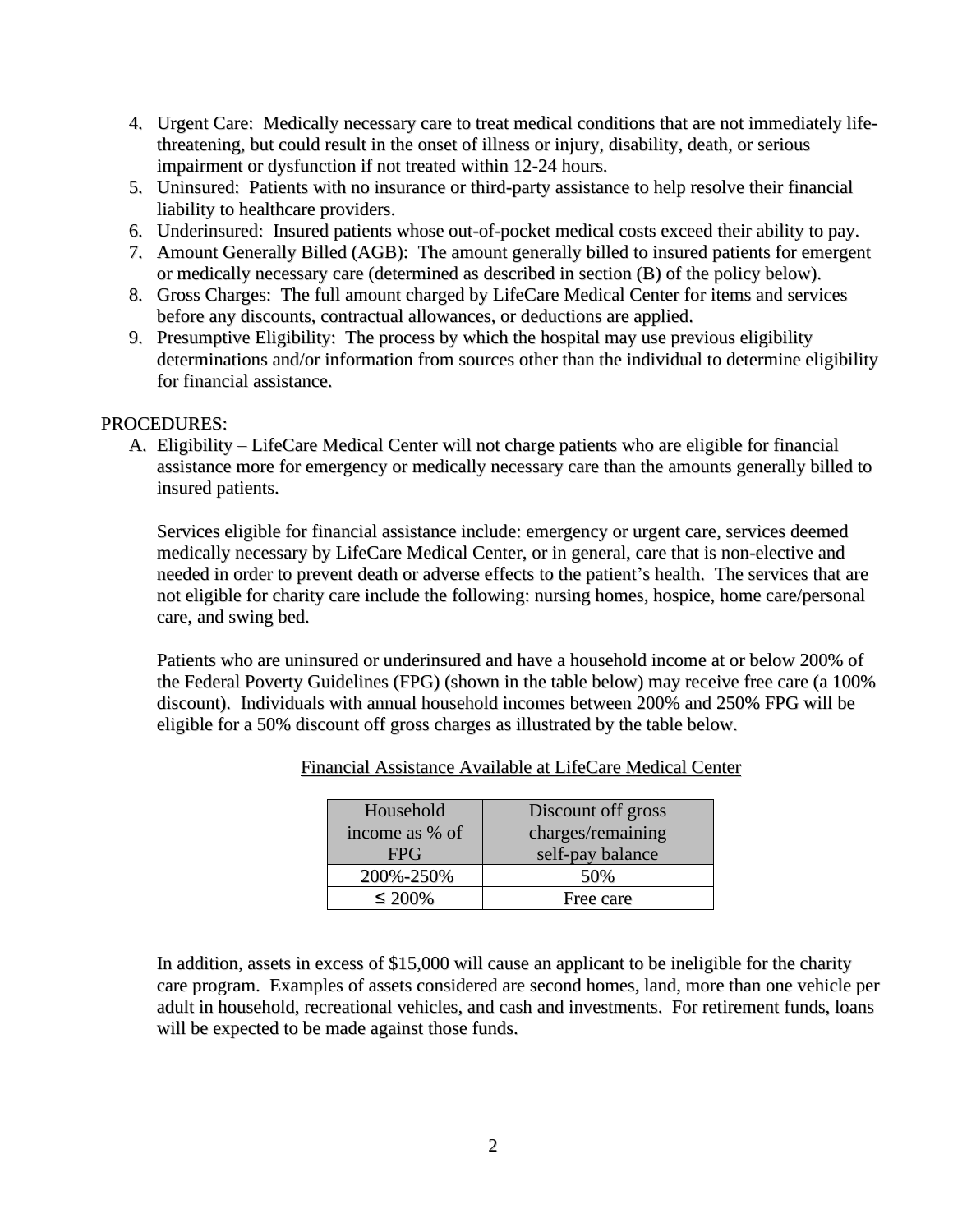- 4. Urgent Care: Medically necessary care to treat medical conditions that are not immediately lifethreatening, but could result in the onset of illness or injury, disability, death, or serious impairment or dysfunction if not treated within 12-24 hours.
- 5. Uninsured: Patients with no insurance or third-party assistance to help resolve their financial liability to healthcare providers.
- 6. Underinsured: Insured patients whose out-of-pocket medical costs exceed their ability to pay.
- 7. Amount Generally Billed (AGB): The amount generally billed to insured patients for emergent or medically necessary care (determined as described in section (B) of the policy below).
- 8. Gross Charges: The full amount charged by LifeCare Medical Center for items and services before any discounts, contractual allowances, or deductions are applied.
- 9. Presumptive Eligibility: The process by which the hospital may use previous eligibility determinations and/or information from sources other than the individual to determine eligibility for financial assistance.

## PROCEDURES:

A. Eligibility – LifeCare Medical Center will not charge patients who are eligible for financial assistance more for emergency or medically necessary care than the amounts generally billed to insured patients.

Services eligible for financial assistance include: emergency or urgent care, services deemed medically necessary by LifeCare Medical Center, or in general, care that is non-elective and needed in order to prevent death or adverse effects to the patient's health. The services that are not eligible for charity care include the following: nursing homes, hospice, home care/personal care, and swing bed.

Patients who are uninsured or underinsured and have a household income at or below 200% of the Federal Poverty Guidelines (FPG) (shown in the table below) may receive free care (a 100% discount). Individuals with annual household incomes between 200% and 250% FPG will be eligible for a 50% discount off gross charges as illustrated by the table below.

| Household      | Discount off gross |
|----------------|--------------------|
| income as % of | charges/remaining  |
| <b>FPG</b>     | self-pay balance   |
| 200%-250%      | 50%                |
| $\leq 200\%$   | Free care          |

Financial Assistance Available at LifeCare Medical Center

In addition, assets in excess of \$15,000 will cause an applicant to be ineligible for the charity care program. Examples of assets considered are second homes, land, more than one vehicle per adult in household, recreational vehicles, and cash and investments. For retirement funds, loans will be expected to be made against those funds.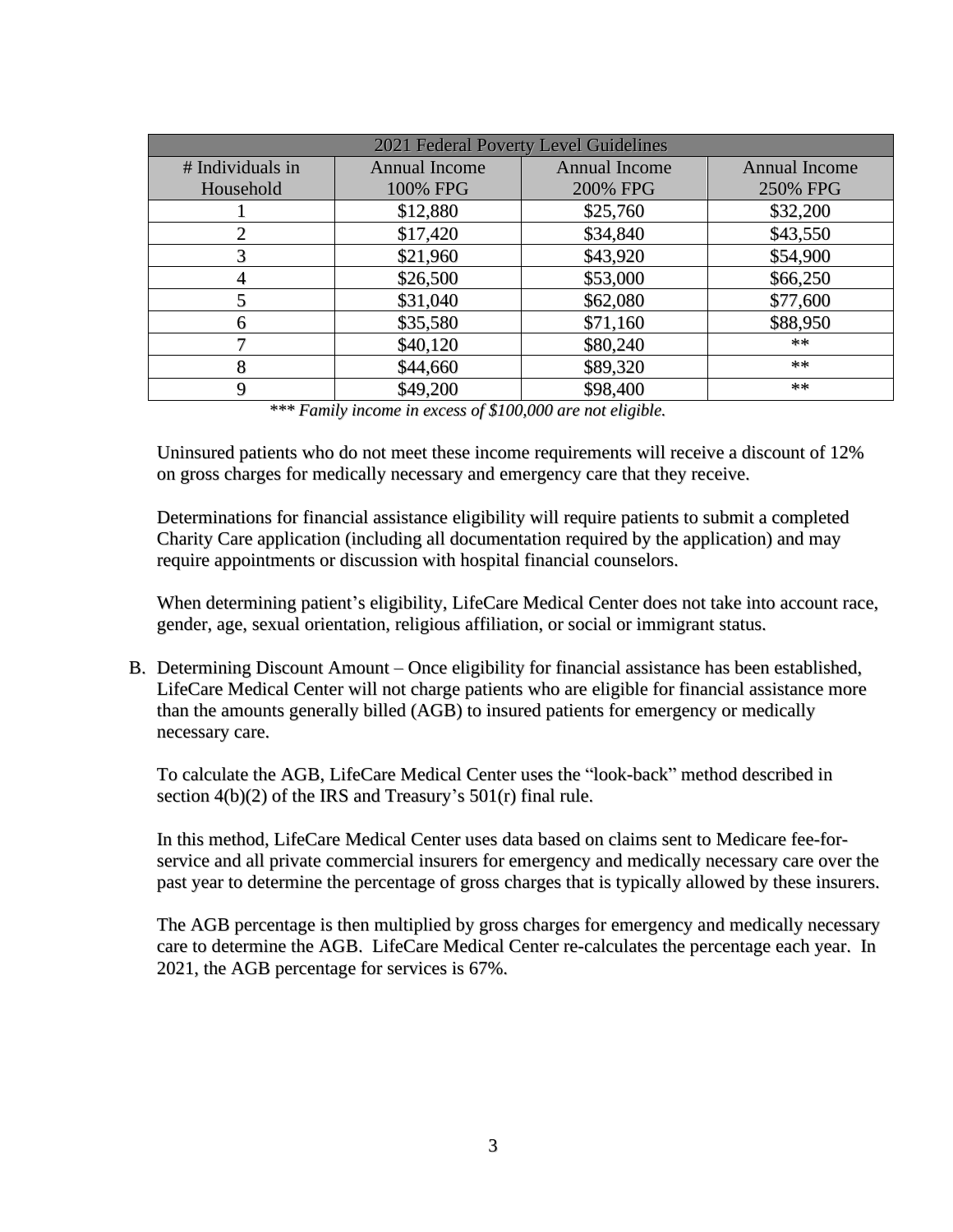| 2021 Federal Poverty Level Guidelines |                      |                      |                      |  |
|---------------------------------------|----------------------|----------------------|----------------------|--|
| # Individuals in                      | <b>Annual Income</b> | <b>Annual Income</b> | <b>Annual Income</b> |  |
| Household                             | 100% FPG             | 200% FPG             | 250% FPG             |  |
|                                       | \$12,880             | \$25,760             | \$32,200             |  |
|                                       | \$17,420             | \$34,840             | \$43,550             |  |
|                                       | \$21,960             | \$43,920             | \$54,900             |  |
|                                       | \$26,500             | \$53,000             | \$66,250             |  |
|                                       | \$31,040             | \$62,080             | \$77,600             |  |
|                                       | \$35,580             | \$71,160             | \$88,950             |  |
|                                       | \$40,120             | \$80,240             | $**$                 |  |
| 8                                     | \$44,660             | \$89,320             | $***$                |  |
|                                       | \$49,200             | \$98,400             | $***$                |  |

*\*\*\* Family income in excess of \$100,000 are not eligible.*

Uninsured patients who do not meet these income requirements will receive a discount of 12% on gross charges for medically necessary and emergency care that they receive.

Determinations for financial assistance eligibility will require patients to submit a completed Charity Care application (including all documentation required by the application) and may require appointments or discussion with hospital financial counselors.

When determining patient's eligibility, LifeCare Medical Center does not take into account race, gender, age, sexual orientation, religious affiliation, or social or immigrant status.

B. Determining Discount Amount – Once eligibility for financial assistance has been established, LifeCare Medical Center will not charge patients who are eligible for financial assistance more than the amounts generally billed (AGB) to insured patients for emergency or medically necessary care.

To calculate the AGB, LifeCare Medical Center uses the "look-back" method described in section 4(b)(2) of the IRS and Treasury's 501(r) final rule.

In this method, LifeCare Medical Center uses data based on claims sent to Medicare fee-forservice and all private commercial insurers for emergency and medically necessary care over the past year to determine the percentage of gross charges that is typically allowed by these insurers.

The AGB percentage is then multiplied by gross charges for emergency and medically necessary care to determine the AGB. LifeCare Medical Center re-calculates the percentage each year. In 2021, the AGB percentage for services is 67%.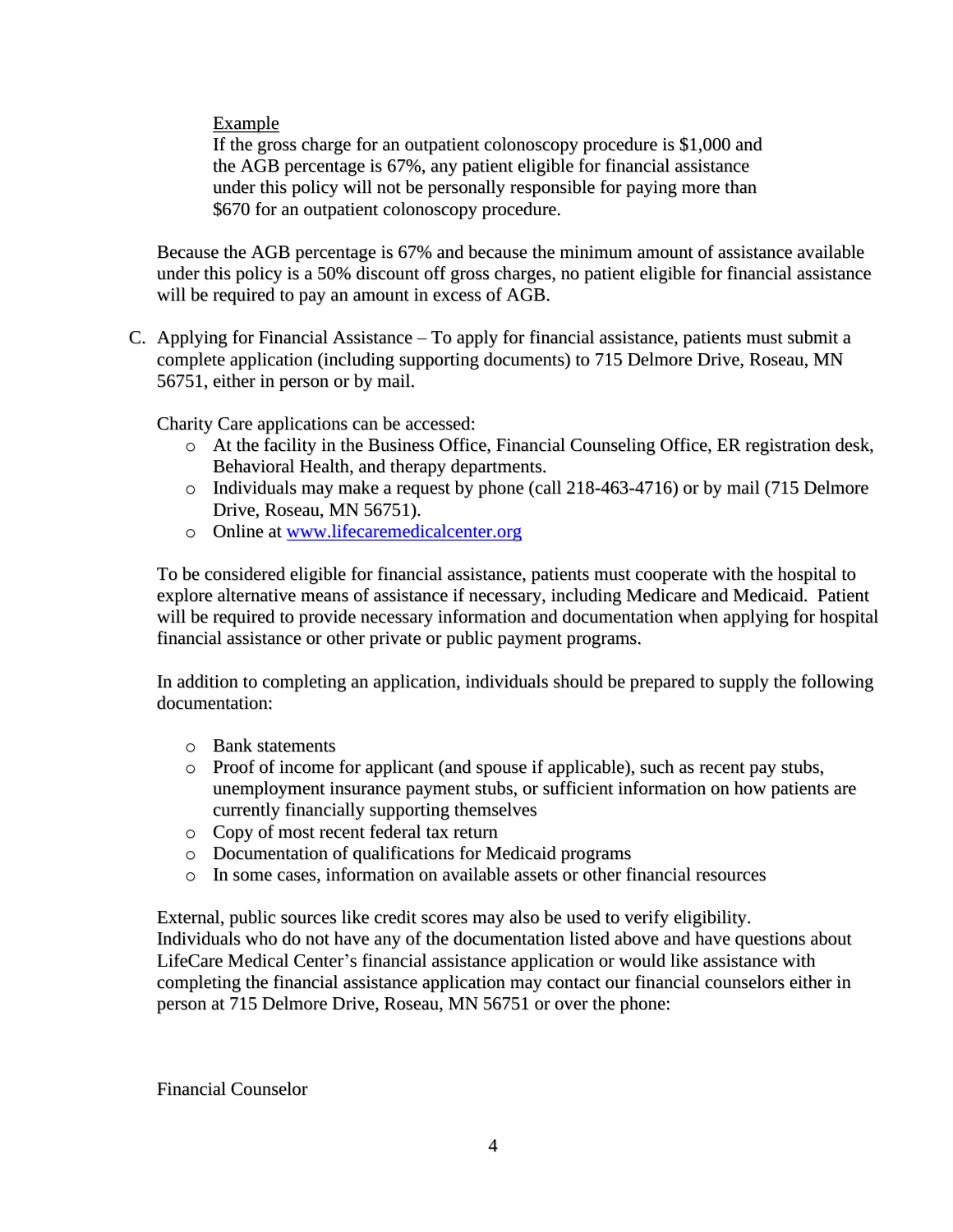Example

If the gross charge for an outpatient colonoscopy procedure is \$1,000 and the AGB percentage is 67%, any patient eligible for financial assistance under this policy will not be personally responsible for paying more than \$670 for an outpatient colonoscopy procedure.

Because the AGB percentage is 67% and because the minimum amount of assistance available under this policy is a 50% discount off gross charges, no patient eligible for financial assistance will be required to pay an amount in excess of AGB.

C. Applying for Financial Assistance – To apply for financial assistance, patients must submit a complete application (including supporting documents) to 715 Delmore Drive, Roseau, MN 56751, either in person or by mail.

Charity Care applications can be accessed:

- o At the facility in the Business Office, Financial Counseling Office, ER registration desk, Behavioral Health, and therapy departments.
- o Individuals may make a request by phone (call 218-463-4716) or by mail (715 Delmore Drive, Roseau, MN 56751).
- o Online at [www.lifecaremedicalcenter.org](http://www.lifecaremedicalcenter.org/)

To be considered eligible for financial assistance, patients must cooperate with the hospital to explore alternative means of assistance if necessary, including Medicare and Medicaid. Patient will be required to provide necessary information and documentation when applying for hospital financial assistance or other private or public payment programs.

In addition to completing an application, individuals should be prepared to supply the following documentation:

- o Bank statements
- o Proof of income for applicant (and spouse if applicable), such as recent pay stubs, unemployment insurance payment stubs, or sufficient information on how patients are currently financially supporting themselves
- o Copy of most recent federal tax return
- o Documentation of qualifications for Medicaid programs
- o In some cases, information on available assets or other financial resources

External, public sources like credit scores may also be used to verify eligibility. Individuals who do not have any of the documentation listed above and have questions about LifeCare Medical Center's financial assistance application or would like assistance with completing the financial assistance application may contact our financial counselors either in person at 715 Delmore Drive, Roseau, MN 56751 or over the phone:

Financial Counselor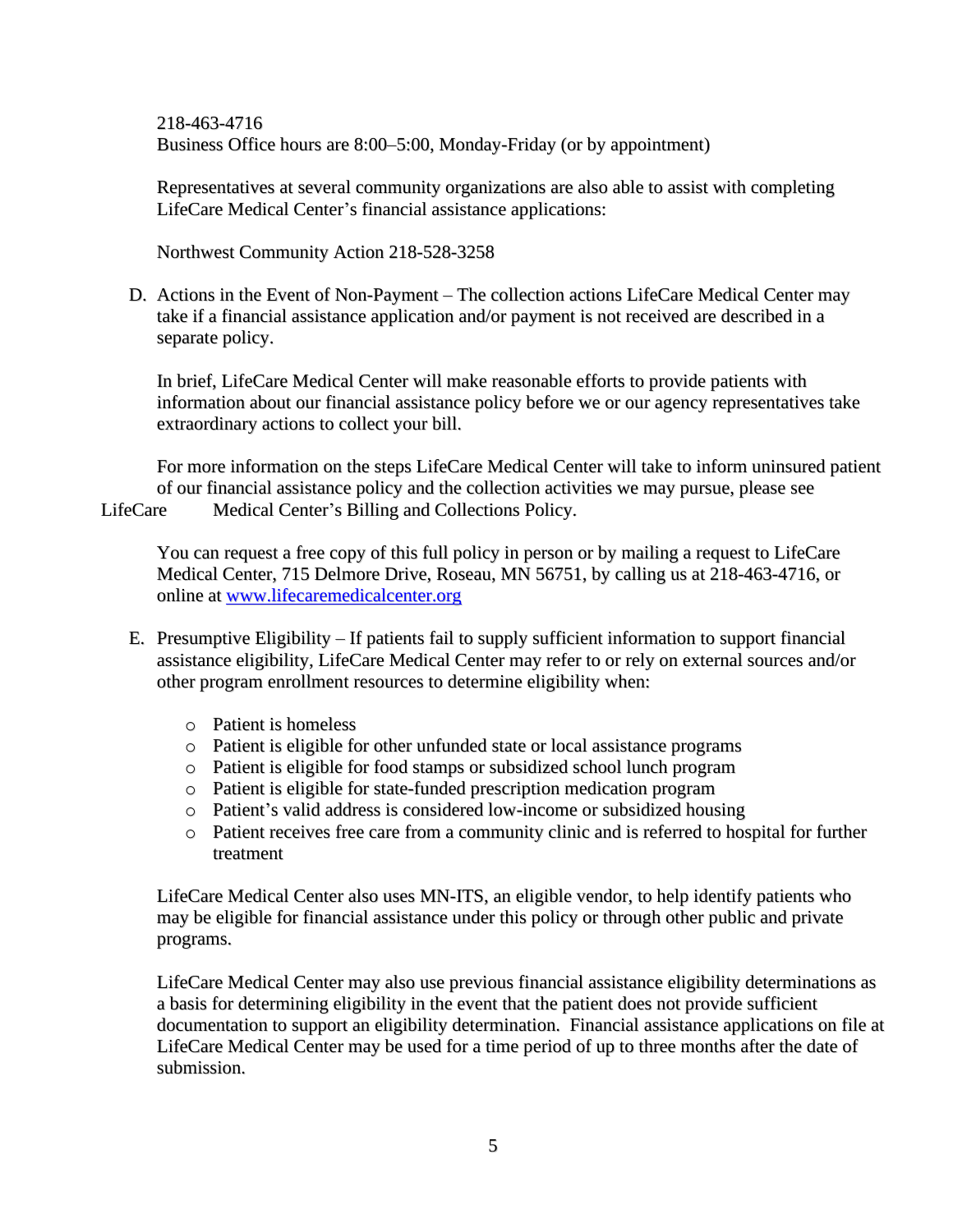218-463-4716 Business Office hours are 8:00–5:00, Monday-Friday (or by appointment)

Representatives at several community organizations are also able to assist with completing LifeCare Medical Center's financial assistance applications:

Northwest Community Action 218-528-3258

D. Actions in the Event of Non-Payment – The collection actions LifeCare Medical Center may take if a financial assistance application and/or payment is not received are described in a separate policy.

In brief, LifeCare Medical Center will make reasonable efforts to provide patients with information about our financial assistance policy before we or our agency representatives take extraordinary actions to collect your bill.

For more information on the steps LifeCare Medical Center will take to inform uninsured patient of our financial assistance policy and the collection activities we may pursue, please see

LifeCare Medical Center's Billing and Collections Policy.

You can request a free copy of this full policy in person or by mailing a request to LifeCare Medical Center, 715 Delmore Drive, Roseau, MN 56751, by calling us at 218-463-4716, or online at [www.lifecaremedicalcenter.org](http://www.lifecaremedicalcenter.org/)

- E. Presumptive Eligibility If patients fail to supply sufficient information to support financial assistance eligibility, LifeCare Medical Center may refer to or rely on external sources and/or other program enrollment resources to determine eligibility when:
	- o Patient is homeless
	- o Patient is eligible for other unfunded state or local assistance programs
	- o Patient is eligible for food stamps or subsidized school lunch program
	- o Patient is eligible for state-funded prescription medication program
	- o Patient's valid address is considered low-income or subsidized housing
	- o Patient receives free care from a community clinic and is referred to hospital for further treatment

LifeCare Medical Center also uses MN-ITS, an eligible vendor, to help identify patients who may be eligible for financial assistance under this policy or through other public and private programs.

LifeCare Medical Center may also use previous financial assistance eligibility determinations as a basis for determining eligibility in the event that the patient does not provide sufficient documentation to support an eligibility determination. Financial assistance applications on file at LifeCare Medical Center may be used for a time period of up to three months after the date of submission.